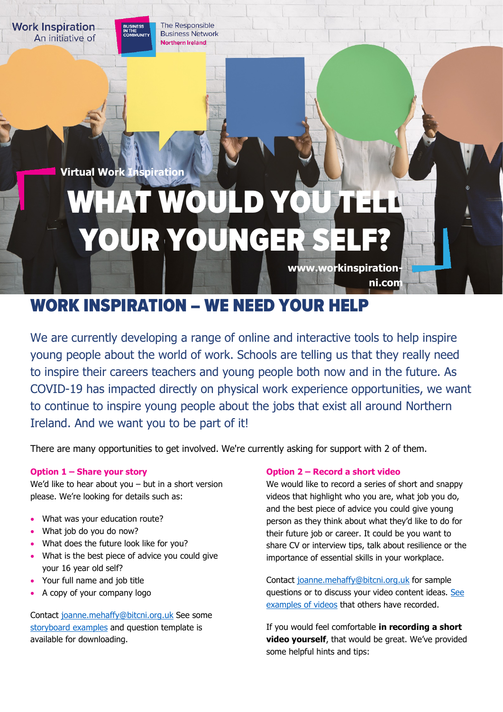The Responsible **Business Network Northern Ireland** 

**Virtual Work Inspiration**

**Work Inspiration** 

An initiative of

# WHAT WOULD YOU YOUR YOUNGER

**www.workinspiration-**

**ni.com**

# WORK INSPIRATION – WE NEED YOUR HELP

We are currently developing a range of online and interactive tools to help inspire young people about the world of work. Schools are telling us that they really need to inspire their careers teachers and young people both now and in the future. As COVID-19 has impacted directly on physical work experience opportunities, we want to continue to inspire young people about the jobs that exist all around Northern Ireland. And we want you to be part of it!

There are many opportunities to get involved. We're currently asking for support with 2 of them.

## **Option 1 – Share your story**

We'd like to hear about you – but in a short version please. We're looking for details such as:

- What was your education route?
- What job do you do now?
- What does the future look like for you?
- What is the best piece of advice you could give your 16 year old self?
- Your full name and job title
- A copy of your company logo

Contact [joanne.mehaffy@bitcni.org.uk](mailto:joanne.mehaffy@bitc.org.uk) See some [storyboard examples](https://workinspiration-ni.com/storyboards/) and question template is available for downloading.

## **Option 2 – Record a short video**

We would like to record a series of short and snappy videos that highlight who you are, what job you do, and the best piece of advice you could give young person as they think about what they'd like to do for their future job or career. It could be you want to share CV or interview tips, talk about resilience or the importance of essential skills in your workplace.

Contact [joanne.mehaffy@bitcni.org.uk](mailto:joanne.mehaffy@bitc.org.uk) for sample questions or to discuss your video content ideas. [See](https://workinspiration-ni.com/videos-2/)  [examples of videos](https://workinspiration-ni.com/videos-2/) that others have recorded.

If you would feel comfortable **in recording a short video yourself**, that would be great. We've provided some helpful hints and tips: